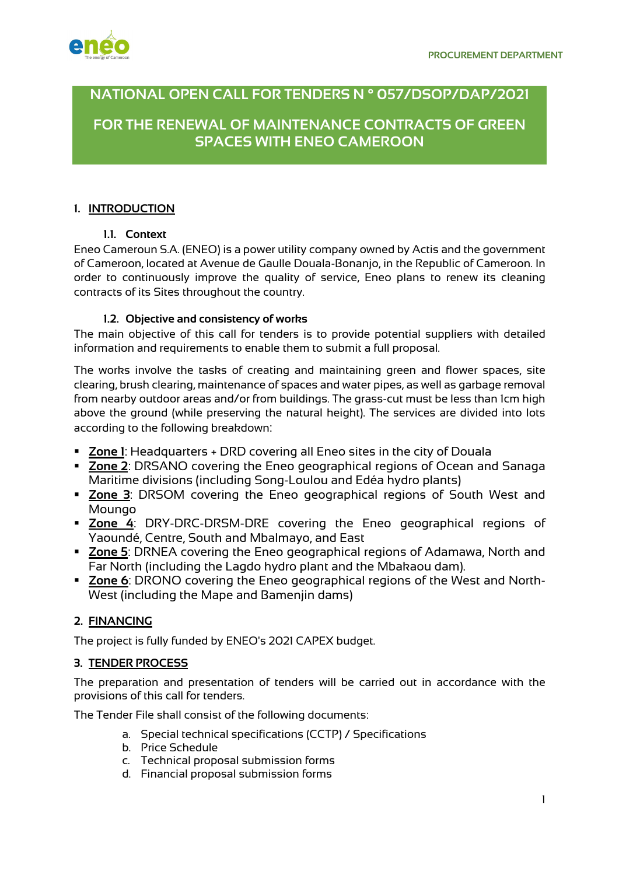

# **NATIONAL OPEN CALL FOR TENDERS N ° 057/DSOP/DAP/2021**

**FOR THE RENEWAL OF MAINTENANCE CONTRACTS OF GREEN SPACES WITH ENEO CAMEROON**

## **1. INTRODUCTION**

## **1.1. Context**

Eneo Cameroun S.A. (ENEO) is a power utility company owned by Actis and the government of Cameroon, located at Avenue de Gaulle Douala-Bonanjo, in the Republic of Cameroon. In order to continuously improve the quality of service, Eneo plans to renew its cleaning contracts of its Sites throughout the country.

## **1.2. Objective and consistency of works**

The main objective of this call for tenders is to provide potential suppliers with detailed information and requirements to enable them to submit a full proposal.

The works involve the tasks of creating and maintaining green and flower spaces, site clearing, brush clearing, maintenance of spaces and water pipes, as well as garbage removal from nearby outdoor areas and/or from buildings. The grass-cut must be less than 1cm high above the ground (while preserving the natural height). The services are divided into lots according to the following breakdown:

- § **Zone 1**: Headquarters + DRD covering all Eneo sites in the city of Douala
- Zone 2: DRSANO covering the Eneo geographical regions of Ocean and Sanaga Maritime divisions (including Song-Loulou and Edéa hydro plants)
- § **Zone 3**: DRSOM covering the Eneo geographical regions of South West and Moungo
- § **Zone 4**: DRY-DRC-DRSM-DRE covering the Eneo geographical regions of Yaoundé, Centre, South and Mbalmayo, and East
- § **Zone 5**: DRNEA covering the Eneo geographical regions of Adamawa, North and Far North (including the Lagdo hydro plant and the Mbakaou dam).
- Zone 6: DRONO covering the Eneo geographical regions of the West and North-West (including the Mape and Bamenjin dams)

## **2. FINANCING**

The project is fully funded by ENEO's 2021 CAPEX budget.

## **3. TENDER PROCESS**

The preparation and presentation of tenders will be carried out in accordance with the provisions of this call for tenders.

The Tender File shall consist of the following documents:

- a. Special technical specifications (CCTP) / Specifications
- b. Price Schedule
- c. Technical proposal submission forms
- d. Financial proposal submission forms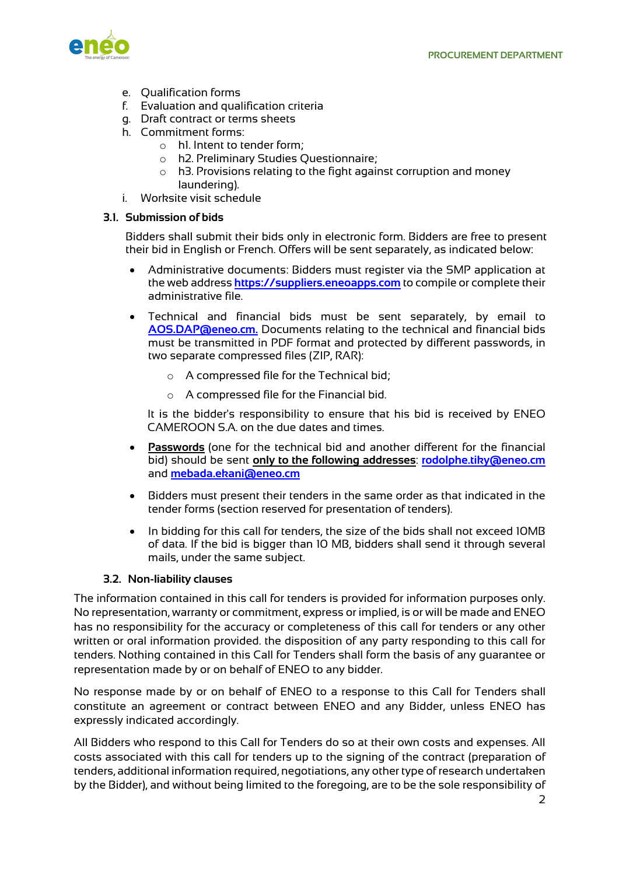

- e. Qualification forms
- f. Evaluation and qualification criteria
- g. Draft contract or terms sheets
- h. Commitment forms:
	- o h1. Intent to tender form;
	- o h2. Preliminary Studies Questionnaire;
	- o h3. Provisions relating to the fight against corruption and money laundering).
- i. Worksite visit schedule

#### **3.1. Submission of bids**

Bidders shall submit their bids only in electronic form. Bidders are free to present their bid in English or French. Offers will be sent separately, as indicated below:

- Administrative documents: Bidders must register via the SMP application at the web address **https://suppliers.eneoapps.com** to compile or complete their administrative file.
- Technical and financial bids must be sent separately, by email to **AOS.DAP@eneo.cm.** Documents relating to the technical and financial bids must be transmitted in PDF format and protected by different passwords, in two separate compressed files (ZIP, RAR):
	- o A compressed file for the Technical bid;
	- o A compressed file for the Financial bid.

It is the bidder's responsibility to ensure that his bid is received by ENEO CAMEROON S.A. on the due dates and times.

- **Passwords** (one for the technical bid and another different for the financial bid) should be sent **only to the following addresses**: **rodolphe.tiky@eneo.cm** and **mebada.ekani@eneo.cm**
- Bidders must present their tenders in the same order as that indicated in the tender forms (section reserved for presentation of tenders).
- In bidding for this call for tenders, the size of the bids shall not exceed 10MB of data. If the bid is bigger than 10 MB, bidders shall send it through several mails, under the same subject.

## **3.2. Non-liability clauses**

The information contained in this call for tenders is provided for information purposes only. No representation, warranty or commitment, express or implied, is or will be made and ENEO has no responsibility for the accuracy or completeness of this call for tenders or any other written or oral information provided. the disposition of any party responding to this call for tenders. Nothing contained in this Call for Tenders shall form the basis of any guarantee or representation made by or on behalf of ENEO to any bidder.

No response made by or on behalf of ENEO to a response to this Call for Tenders shall constitute an agreement or contract between ENEO and any Bidder, unless ENEO has expressly indicated accordingly.

All Bidders who respond to this Call for Tenders do so at their own costs and expenses. All costs associated with this call for tenders up to the signing of the contract (preparation of tenders, additional information required, negotiations, any other type of research undertaken by the Bidder), and without being limited to the foregoing, are to be the sole responsibility of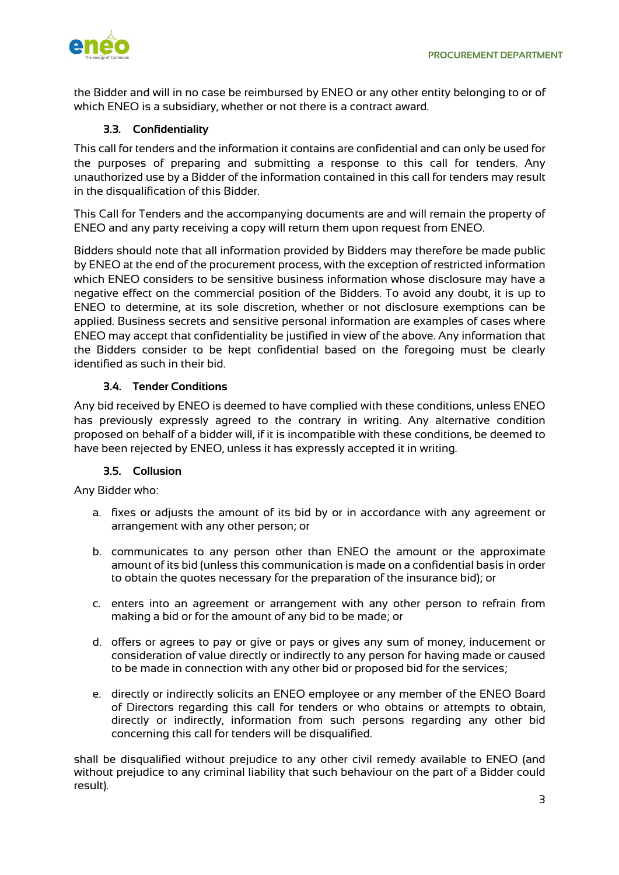the Bidder and will in no case be reimbursed by ENEO or any other entity belonging to or of which ENEO is a subsidiary, whether or not there is a contract award.

## **3.3. Confidentiality**

This call for tenders and the information it contains are confidential and can only be used for the purposes of preparing and submitting a response to this call for tenders. Any unauthorized use by a Bidder of the information contained in this call for tenders may result in the disqualification of this Bidder.

This Call for Tenders and the accompanying documents are and will remain the property of ENEO and any party receiving a copy will return them upon request from ENEO.

Bidders should note that all information provided by Bidders may therefore be made public by ENEO at the end of the procurement process, with the exception of restricted information which ENEO considers to be sensitive business information whose disclosure may have a negative effect on the commercial position of the Bidders. To avoid any doubt, it is up to ENEO to determine, at its sole discretion, whether or not disclosure exemptions can be applied. Business secrets and sensitive personal information are examples of cases where ENEO may accept that confidentiality be justified in view of the above. Any information that the Bidders consider to be kept confidential based on the foregoing must be clearly identified as such in their bid.

## **3.4. Tender Conditions**

Any bid received by ENEO is deemed to have complied with these conditions, unless ENEO has previously expressly agreed to the contrary in writing. Any alternative condition proposed on behalf of a bidder will, if it is incompatible with these conditions, be deemed to have been rejected by ENEO, unless it has expressly accepted it in writing.

## **3.5. Collusion**

Any Bidder who:

- a. fixes or adjusts the amount of its bid by or in accordance with any agreement or arrangement with any other person; or
- b. communicates to any person other than ENEO the amount or the approximate amount of its bid (unless this communication is made on a confidential basis in order to obtain the quotes necessary for the preparation of the insurance bid); or
- c. enters into an agreement or arrangement with any other person to refrain from making a bid or for the amount of any bid to be made; or
- d. offers or agrees to pay or give or pays or gives any sum of money, inducement or consideration of value directly or indirectly to any person for having made or caused to be made in connection with any other bid or proposed bid for the services;
- e. directly or indirectly solicits an ENEO employee or any member of the ENEO Board of Directors regarding this call for tenders or who obtains or attempts to obtain, directly or indirectly, information from such persons regarding any other bid concerning this call for tenders will be disqualified.

shall be disqualified without prejudice to any other civil remedy available to ENEO (and without prejudice to any criminal liability that such behaviour on the part of a Bidder could result).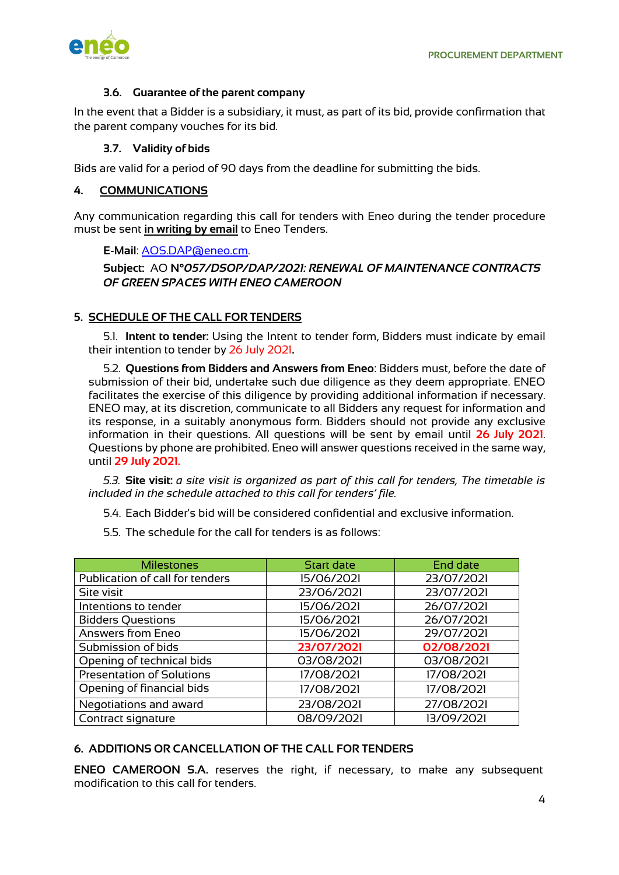

#### **3.6. Guarantee of the parent company**

In the event that a Bidder is a subsidiary, it must, as part of its bid, provide confirmation that the parent company vouches for its bid.

#### **3.7. Validity of bids**

Bids are valid for a period of 90 days from the deadline for submitting the bids.

#### **4. COMMUNICATIONS**

Any communication regarding this call for tenders with Eneo during the tender procedure must be sent **in writing by email** to Eneo Tenders.

#### **E-Mail**: AOS.DAP@eneo.cm.

**Subject:** AO **N°***057/DSOP/DAP/2021: RENEWAL OF MAINTENANCE CONTRACTS OF GREEN SPACES WITH ENEO CAMEROON*

#### **5. SCHEDULE OF THE CALL FOR TENDERS**

5.1. **Intent to tender:** Using the Intent to tender form, Bidders must indicate by email their intention to tender by 26 July 2021**.**

5.2. **Questions from Bidders and Answers from Eneo**: Bidders must, before the date of submission of their bid, undertake such due diligence as they deem appropriate. ENEO facilitates the exercise of this diligence by providing additional information if necessary. ENEO may, at its discretion, communicate to all Bidders any request for information and its response, in a suitably anonymous form. Bidders should not provide any exclusive information in their questions. All questions will be sent by email until **26 July 2021**. Questions by phone are prohibited. Eneo will answer questions received in the same way, until **29 July 2021.**

*5.3.* **Site visit:** *a site visit is organized as part of this call for tenders, The timetable is included in the schedule attached to this call for tenders' file.* 

5.4. Each Bidder's bid will be considered confidential and exclusive information.

5.5. The schedule for the call for tenders is as follows:

| <b>Milestones</b>                | <b>Start date</b> | <b>End date</b> |
|----------------------------------|-------------------|-----------------|
| Publication of call for tenders  | 15/06/2021        | 23/07/2021      |
| Site visit                       | 23/06/2021        | 23/07/2021      |
| Intentions to tender             | 15/06/2021        | 26/07/2021      |
| <b>Bidders Questions</b>         | 15/06/2021        | 26/07/2021      |
| Answers from Eneo                | 15/06/2021        | 29/07/2021      |
| Submission of bids               | 23/07/2021        | 02/08/2021      |
| Opening of technical bids        | 03/08/2021        | 03/08/2021      |
| <b>Presentation of Solutions</b> | 17/08/2021        | 17/08/2021      |
| Opening of financial bids        | 17/08/2021        | 17/08/2021      |
| Negotiations and award           | 23/08/2021        | 27/08/2021      |
| Contract signature               | 08/09/2021        | 13/09/2021      |

#### **6. ADDITIONS OR CANCELLATION OF THE CALL FOR TENDERS**

**ENEO CAMEROON S.A.** reserves the right, if necessary, to make any subsequent modification to this call for tenders.